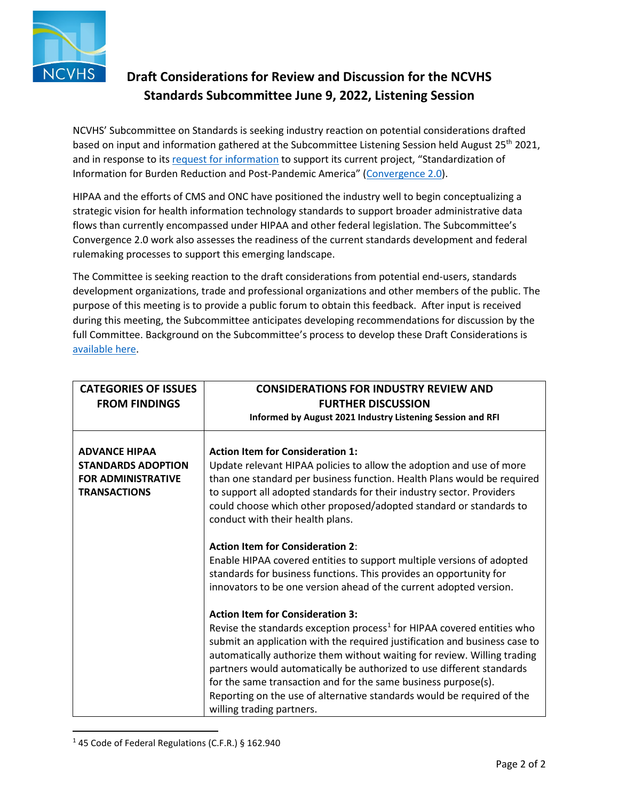

## **Draft Considerations for Review and Discussion for the NCVHS Standards Subcommittee June 9, 2022, Listening Session**

based on input and information gathered at the Subcommittee Listening Session held August 25<sup>th</sup> 2021, NCVHS' Subcommittee on Standards is seeking industry reaction on potential considerations drafted and in response to its [request for information](https://ncvhs.hhs.gov/wp-content/uploads/2021/08/Public-Comments-Standards-Subcommittee-Listening-Session-August-25-2021.pdf) to support its current project, "Standardization of Information for Burden Reduction and Post-Pandemic America" [\(Convergence 2.0\)](https://ncvhs.hhs.gov/wp-content/uploads/2021/07/NCVHS-SS-project-scoping-convergence-2021-06-21-508.pdf).

 HIPAA and the efforts of CMS and ONC have positioned the industry well to begin conceptualizing a flows than currently encompassed under HIPAA and other federal legislation. The Subcommittee's strategic vision for health information technology standards to support broader administrative data Convergence 2.0 work also assesses the readiness of the current standards development and federal rulemaking processes to support this emerging landscape.

 purpose of this meeting is to provide a public forum to obtain this feedback. After input is received The Committee is seeking reaction to the draft considerations from potential end-users, standards development organizations, trade and professional organizations and other members of the public. The during this meeting, the Subcommittee anticipates developing recommendations for discussion by the full Committee. Background on the Subcommittee's process to develop these Draft Considerations is [available here.](https://ncvhs.hhs.gov/wp-content/uploads/2022/01/Presentation-Standards-Subcommittee-Update-Rich-Landen.pdf)

| <b>CATEGORIES OF ISSUES</b><br><b>FROM FINDINGS</b>                                                   | <b>CONSIDERATIONS FOR INDUSTRY REVIEW AND</b><br><b>FURTHER DISCUSSION</b><br>Informed by August 2021 Industry Listening Session and RFI                                                                                                                                                                                                                                                                                                                                                                                                  |
|-------------------------------------------------------------------------------------------------------|-------------------------------------------------------------------------------------------------------------------------------------------------------------------------------------------------------------------------------------------------------------------------------------------------------------------------------------------------------------------------------------------------------------------------------------------------------------------------------------------------------------------------------------------|
| <b>ADVANCE HIPAA</b><br><b>STANDARDS ADOPTION</b><br><b>FOR ADMINISTRATIVE</b><br><b>TRANSACTIONS</b> | <b>Action Item for Consideration 1:</b><br>Update relevant HIPAA policies to allow the adoption and use of more<br>than one standard per business function. Health Plans would be required<br>to support all adopted standards for their industry sector. Providers<br>could choose which other proposed/adopted standard or standards to<br>conduct with their health plans.                                                                                                                                                             |
|                                                                                                       | <b>Action Item for Consideration 2:</b><br>Enable HIPAA covered entities to support multiple versions of adopted<br>standards for business functions. This provides an opportunity for<br>innovators to be one version ahead of the current adopted version.                                                                                                                                                                                                                                                                              |
|                                                                                                       | <b>Action Item for Consideration 3:</b><br>Revise the standards exception process <sup>1</sup> for HIPAA covered entities who<br>submit an application with the required justification and business case to<br>automatically authorize them without waiting for review. Willing trading<br>partners would automatically be authorized to use different standards<br>for the same transaction and for the same business purpose(s).<br>Reporting on the use of alternative standards would be required of the<br>willing trading partners. |

<span id="page-0-0"></span> $145$  Code of Federal Regulations (C.F.R.) § 162.940